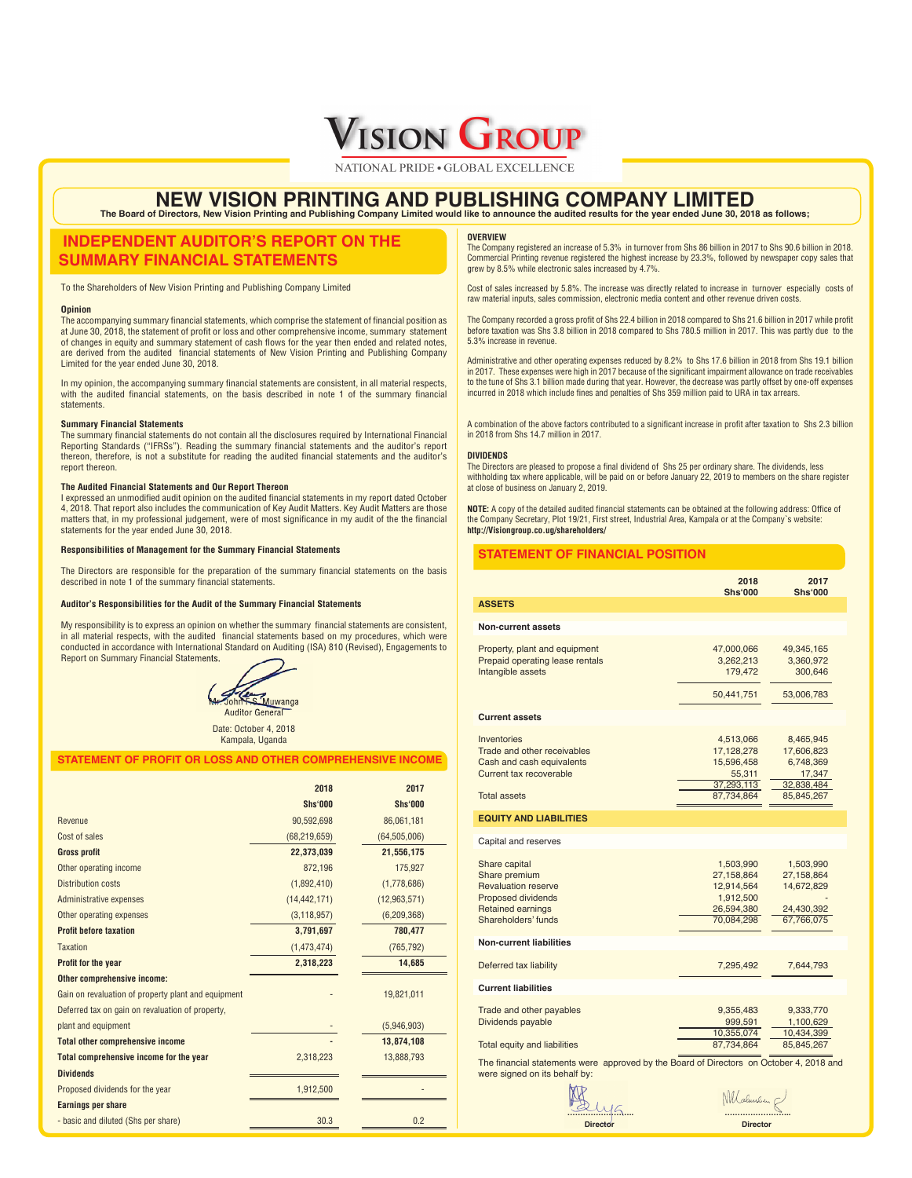

NATIONAL PRIDE GLOBAL EXCELLENCE **INNOVATION AND EXCELLENCE**

## **NEW VISION PRINTING AND PUBLISHING COMPANY LIMITED** The Board of Directors, New Vision Printing and Publishing Company Limited would like to announce the audited results for the year ended June 30, 2018 as follows;

# **INDEPENDENT AUDITOR'S REPORT ON THE SUMMARY FINANCIAL STATEMENTS**

To the Shareholders of New Vision Printing and Publishing Company Limited

### **Opinion**

The accompanying summary financial statements, which comprise the statement of financial position as at June 30, 2018, the statement of profi t or loss and other comprehensive income, summary statement of changes in equity and summary statement of cash flows for the year then ended and related notes, are derived from the audited financial statements of New Vision Printing and Publishing Company Limited for the year ended June 30, 2018.

In my opinion, the accompanying summary financial statements are consistent, in all material respects. with the audited financial statements, on the basis described in note 1 of the summary financial statements.

### **Summary Financial Statements**

The summary financial statements do not contain all the disclosures required by International Financial Reporting Standards ("IFRSs"). Reading the summary financial statements and the auditor's report thereon, therefore, is not a substitute for reading the audited financial statements and the auditor's report thereon.

### **The Audited Financial Statements and Our Report Thereon**

I expressed an unmodified audit opinion on the audited financial statements in my report dated October 4, 2018. That report also includes the communication of Key Audit Matters. Key Audit Matters are those matters that, in my professional judgement, were of most significance in my audit of the the financial statements for the year ended June 30, 2018.

### **Responsibilities of Management for the Summary Financial Statements**

The Directors are responsible for the preparation of the summary financial statements on the basis described in note 1 of the summary financial statements.

### **Auditor's Responsibilities for the Audit of the Summary Financial Statements**

My responsibility is to express an opinion on whether the summary financial statements are consistent, in all material respects, with the audited financial statements based on my procedures, which were conducted in accordance with International Standard on Auditing (ISA) 810 (Revised), Engagements to Report on Summary Financial Statements.



Date: October 4, 2018 Kampala, Uganda

### **STATEMENT OF PROFIT OR LOSS AND OTHER COMPREHENSIVE INCOME**

|                                                     | 2018           | 2017           |
|-----------------------------------------------------|----------------|----------------|
|                                                     | <b>Shs'000</b> | <b>Shs'000</b> |
| Revenue                                             | 90,592,698     | 86,061,181     |
| Cost of sales                                       | (68, 219, 659) | (64, 505, 006) |
| <b>Gross profit</b>                                 | 22,373,039     | 21,556,175     |
| Other operating income                              | 872,196        | 175,927        |
| <b>Distribution costs</b>                           | (1,892,410)    | (1,778,686)    |
| <b>Administrative expenses</b>                      | (14, 442, 171) | (12, 963, 571) |
| Other operating expenses                            | (3, 118, 957)  | (6, 209, 368)  |
| <b>Profit before taxation</b>                       | 3,791,697      | 780,477        |
| <b>Taxation</b>                                     | (1,473,474)    | (765, 792)     |
| Profit for the year                                 | 2,318,223      | 14,685         |
| Other comprehensive income:                         |                |                |
| Gain on revaluation of property plant and equipment |                | 19,821,011     |
| Deferred tax on gain on revaluation of property,    |                |                |
| plant and equipment                                 |                | (5,946,903)    |
| <b>Total other comprehensive income</b>             |                | 13,874,108     |
| <b>Total comprehensive income for the year</b>      | 2,318,223      | 13,888,793     |
| <b>Dividends</b>                                    |                |                |
| Proposed dividends for the year                     | 1,912,500      |                |
| <b>Earnings per share</b>                           |                |                |
| - basic and diluted (Shs per share)                 | 30.3           | 0.2            |

#### **OVERVIEW**

The Company registered an increase of 5.3% in turnover from Shs 86 billion in 2017 to Shs 90.6 billion in 2018. Commercial Printing revenue registered the highest increase by 23.3%, followed by newspaper copy sales that grew by 8.5% while electronic sales increased by 4.7%.

Cost of sales increased by 5.8%. The increase was directly related to increase in turnover especially costs of raw material inputs, sales commission, electronic media content and other revenue driven costs.

The Company recorded a gross profit of Shs 22.4 billion in 2018 compared to Shs 21.6 billion in 2017 while profit before taxation was Shs 3.8 billion in 2018 compared to Shs 780.5 million in 2017. This was partly due to the 5.3% increase in revenue.

hinistrative and other operating expenses reduced by 8.2% to Shs 17.6 billion in 2018 from Shs 19.1 billion in 2017. These expenses were high in 2017 because of the significant impairment allowance on trade receivables to the tune of Shs 3.1 billion made during that year. However, the decrease was partly offset by one-off expenses incurred in 2018 which include fines and penalties of Shs 359 million paid to URA in tax arrears.

A combination of the above factors contributed to a significant increase in profit after taxation to Shs 2.3 billion in 2018 from Shs 14.7 million in 2017.

### **DIVIDENDS**

The Directors are pleased to propose a final dividend of Shs 25 per ordinary share. The dividends, less withholding tax where applicable, will be paid on or before January 22, 2019 to members on the share register at close of business on January 2, 2019.

**NOTE:** A copy of the detailed audited financial statements can be obtained at the following address: Office of the Company Secretary, Plot 19/21, First street, Industrial Area, Kampala or at the Company`s website: **http://Visiongroup.co.ug/shareholders/** 

### **STATEMENT OF FINANCIAL POSITION**

|                                                                                                                                              | 2018<br><b>Shs'000</b>                                                         | 2017<br><b>Shs'000</b>                                                     |
|----------------------------------------------------------------------------------------------------------------------------------------------|--------------------------------------------------------------------------------|----------------------------------------------------------------------------|
| <b>ASSETS</b>                                                                                                                                |                                                                                |                                                                            |
| <b>Non-current assets</b>                                                                                                                    |                                                                                |                                                                            |
| Property, plant and equipment<br>Prepaid operating lease rentals<br>Intangible assets                                                        | 47,000,066<br>3,262,213<br>179,472<br>50,441,751                               | 49,345,165<br>3,360,972<br>300,646<br>53,006,783                           |
| <b>Current assets</b>                                                                                                                        |                                                                                |                                                                            |
| Inventories<br>Trade and other receivables<br>Cash and cash equivalents<br>Current tax recoverable<br><b>Total assets</b>                    | 4,513,066<br>17,128,278<br>15,596,458<br>55,311<br>37,293,113<br>87,734,864    | 8,465,945<br>17,606,823<br>6,748,369<br>17,347<br>32,838,484<br>85,845,267 |
| <b>EQUITY AND LIABILITIES</b>                                                                                                                |                                                                                |                                                                            |
| Capital and reserves                                                                                                                         |                                                                                |                                                                            |
| Share capital<br>Share premium<br><b>Revaluation reserve</b><br><b>Proposed dividends</b><br><b>Retained earnings</b><br>Shareholders' funds | 1,503,990<br>27,158,864<br>12,914,564<br>1,912,500<br>26,594,380<br>70,084,298 | 1,503,990<br>27,158,864<br>14,672,829<br>24,430,392<br>67,766,075          |
| <b>Non-current liabilities</b>                                                                                                               |                                                                                |                                                                            |
| Deferred tax liability                                                                                                                       | 7,295,492                                                                      | 7,644,793                                                                  |
| <b>Current liabilities</b>                                                                                                                   |                                                                                |                                                                            |
| Trade and other payables<br>Dividends payable<br>Total equity and liabilities                                                                | 9,355,483<br>999,591<br>10,355,074<br>87,734,864                               | 9,333,770<br>1,100,629<br>10,434,399<br>85,845,267                         |

The financial statements were approved by the Board of Directors on October 4, 2018 and were signed on its behalf by:

19 mg **Director**

 **…………………….. Director**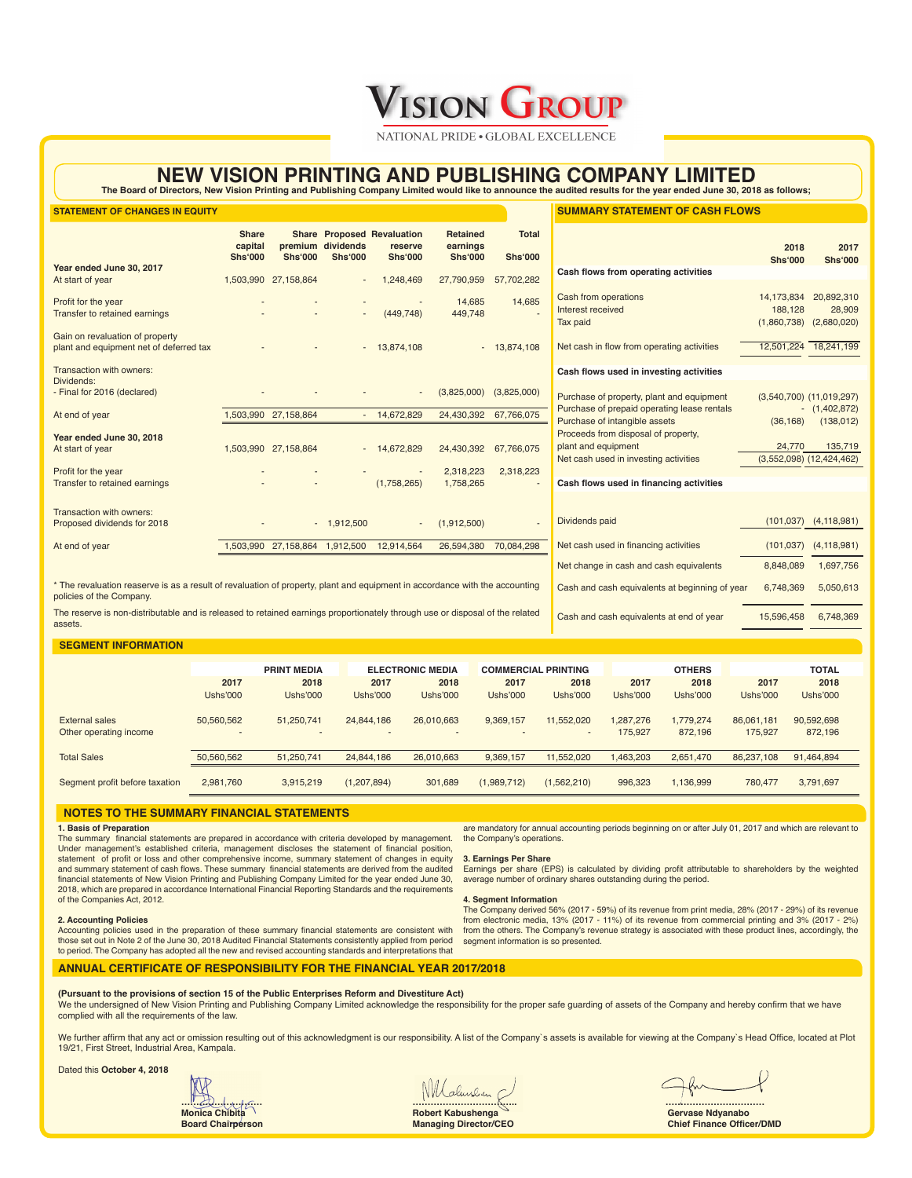**VISION GROUP** 

NATIONAL PRIDE GLOBAL EXCELLENCE **INNOVATION AND EXCELLENCE**

# **NEW VISION PRINTING AND PUBLISHING COMPANY LIMITED**

The Board of Directors, New Vision Printing and Publishing Company Limited would like to announce the audited results for the year ended June 30, 2018 as follows;

| <b>STATEMENT OF CHANGES IN EQUITY</b>                                                                                                                   |                                           |                      |                                     |                                                                |                                               |                                                | <b>SUMMARY STATEMENT OF CASH FLOWS</b>                                                              |                                      |                                         |
|---------------------------------------------------------------------------------------------------------------------------------------------------------|-------------------------------------------|----------------------|-------------------------------------|----------------------------------------------------------------|-----------------------------------------------|------------------------------------------------|-----------------------------------------------------------------------------------------------------|--------------------------------------|-----------------------------------------|
|                                                                                                                                                         | <b>Share</b><br>capital<br><b>Shs'000</b> | <b>Shs'000</b>       | premium dividends<br><b>Shs'000</b> | <b>Share Proposed Revaluation</b><br>reserve<br><b>Shs'000</b> | <b>Retained</b><br>earnings<br><b>Shs'000</b> | <b>Total</b><br><b>Shs'000</b>                 |                                                                                                     | 2018<br><b>Shs'000</b>               | 2017<br><b>Shs'000</b>                  |
| Year ended June 30, 2017<br>At start of year                                                                                                            |                                           | 1,503,990 27,158,864 |                                     | 1,248,469                                                      | 27,790,959                                    | 57,702,282                                     | Cash flows from operating activities                                                                |                                      |                                         |
| Profit for the year<br>Transfer to retained earnings                                                                                                    |                                           |                      |                                     | (449, 748)                                                     | 14,685<br>449,748                             | 14,685                                         | Cash from operations<br>Interest received<br><b>Tax paid</b>                                        | 14,173,834<br>188,128<br>(1,860,738) | 20,892,310<br>28,909<br>(2,680,020)     |
| Gain on revaluation of property<br>plant and equipment net of deferred tax                                                                              |                                           |                      |                                     | $-13,874,108$                                                  |                                               | $-13,874,108$                                  | Net cash in flow from operating activities                                                          |                                      | 12,501,224 18,241,199                   |
| Transaction with owners:                                                                                                                                |                                           |                      |                                     |                                                                |                                               |                                                | Cash flows used in investing activities                                                             |                                      |                                         |
| Dividends:<br>- Final for 2016 (declared)                                                                                                               |                                           |                      |                                     |                                                                | (3,825,000)                                   | (3,825,000)                                    | Purchase of property, plant and equipment                                                           |                                      | $(3,540,700)$ $(11,019,297)$            |
| At end of year                                                                                                                                          |                                           | 1,503,990 27,158,864 |                                     | $-14,672,829$                                                  | 24,430,392                                    | 67,766,075                                     | Purchase of prepaid operating lease rentals<br>Purchase of intangible assets                        | (36, 168)                            | $- (1,402,872)$<br>(138, 012)           |
| Year ended June 30, 2018<br>At start of year                                                                                                            |                                           | 1,503,990 27,158,864 |                                     | $-14,672,829$                                                  | 24,430,392                                    | 67,766,075                                     | Proceeds from disposal of property,<br>plant and equipment<br>Net cash used in investing activities | 24,770                               | 135,719<br>$(3,552,098)$ $(12,424,462)$ |
| Profit for the year<br>Transfer to retained earnings                                                                                                    |                                           |                      |                                     | (1,758,265)                                                    | 2,318,223<br>1,758,265                        | 2,318,223                                      | Cash flows used in financing activities                                                             |                                      |                                         |
| Transaction with owners:<br>Proposed dividends for 2018                                                                                                 |                                           |                      | $-1,912,500$                        |                                                                | (1,912,500)                                   |                                                | Dividends paid                                                                                      | (101, 037)                           | (4, 118, 981)                           |
| At end of year                                                                                                                                          |                                           |                      |                                     | 1,503,990 27,158,864 1,912,500 12,914,564                      |                                               | 26,594,380 70,084,298                          | Net cash used in financing activities                                                               | (101, 037)                           | (4, 118, 981)                           |
|                                                                                                                                                         |                                           |                      |                                     |                                                                |                                               |                                                | Net change in cash and cash equivalents                                                             | 8,848,089                            | 1,697,756                               |
| * The revaluation reaserve is as a result of revaluation of property, plant and equipment in accordance with the accounting<br>policies of the Company. |                                           |                      |                                     |                                                                |                                               | Cash and cash equivalents at beginning of year | 6,748,369                                                                                           | 5,050,613                            |                                         |
| The reserve is non-distributable and is released to retained earnings proportionately through use or disposal of the related                            |                                           |                      |                                     |                                                                |                                               |                                                | Cash and cash equivalents at end of year                                                            | 15,596,458                           | 6,748,369                               |

The reserve is non-distributable and is released to retained earnings proportionately through use or disposal of the related assets.

### **SEGMENT INFORMATION**

|                                |                 | <b>PRINT MEDIA</b>       |                 | <b>ELECTRONIC MEDIA</b>  |             | <b>COMMERCIAL PRINTING</b> |           | <b>OTHERS</b>   |            | <b>TOTAL</b>    |  |
|--------------------------------|-----------------|--------------------------|-----------------|--------------------------|-------------|----------------------------|-----------|-----------------|------------|-----------------|--|
|                                | 2017            | 2018                     | 2017            | 2018                     | 2017        | 2018                       | 2017      | 2018            | 2017       | 2018            |  |
|                                | <b>Ushs'000</b> | <b>Ushs'000</b>          | <b>Ushs'000</b> | Ushs'000                 | Ushs'000    | <b>Ushs'000</b>            | Ushs'000  | <b>Ushs'000</b> | Ushs'000   | <b>Ushs'000</b> |  |
| External sales                 | 50,560,562      | 51,250,741               | 24,844,186      | 26,010,663               | 9,369,157   | 11,552,020                 | 1,287,276 | 1,779,274       | 86,061,181 | 90,592,698      |  |
| Other operating income         |                 | $\overline{\phantom{a}}$ | $\sim$          | $\overline{\phantom{a}}$ | $\sim$      | $\overline{\phantom{a}}$   | 175,927   | 872,196         | 175.927    | 872,196         |  |
| <b>Total Sales</b>             | 50,560,562      | 51.250.741               | 24,844,186      | 26,010,663               | 9,369,157   | 11,552,020                 | 1,463,203 | 2,651,470       | 86,237,108 | 91,464,894      |  |
|                                |                 |                          |                 |                          |             |                            |           |                 |            |                 |  |
| Segment profit before taxation | 2,981,760       | 3,915,219                | (1, 207, 894)   | 301,689                  | (1,989,712) | (1,562,210)                | 996,323   | 1,136,999       | 780,477    | 3,791,697       |  |

### **NOTES TO THE SUMMARY FINANCIAL STATEMENTS**

### **1. Basis of Preparation**

The summary financial statements are prepared in accordance with criteria developed by management. Under management's established criteria, management discloses the statement of financial position, statement of profit or loss and other comprehensive income, summary statement of changes in equity and summary statement of cash flows. These summary financial statements are derived from the audited financial statements of New Vision Printing and Publishing Company Limited for the year ended June 30, 2018, which are prepared in accordance International Financial Reporting Standards and the requirements of the Companies Act, 2012.

are mandatory for annual accounting periods beginning on or after July 01, 2017 and which are relevant to the Company's operations.

### **3. Earnings Per Share**

Earnings per share (EPS) is calculated by dividing profit attributable to shareholders by the weighted average number of ordinary shares outstanding during the period.

### **4. Segment Information**

The Company derived 56% (2017 - 59%) of its revenue from print media, 28% (2017 - 29%) of its revenue from electronic media, 13% (2017 - 11%) of its revenue from commercial printing and 3% (2017 - 2%) from the others. The Company's revenue strategy is associated with these product lines, accordingly, the segment information is so presented.

### **2. Accounting Policies**

Accounting policies used in the preparation of these summary financial statements are consistent with those set out in Note 2 of the June 30, 2018 Audited Financial Statements consistently applied from period to period. The Company has adopted all the new and revised accounting standards and interpretations that

### **ANNUAL CERTIFICATE OF RESPONSIBILITY FOR THE FINANCIAL YEAR 2017/2018**

**(Pursuant to the provisions of section 15 of the Public Enterprises Reform and Divestiture Act)**

We the undersigned of New Vision Printing and Publishing Company Limited acknowledge the responsibility for the proper safe guarding of assets of the Company and hereby confirm that we have complied with all the requirements of the law.

We further affirm that any act or omission resulting out of this acknowledgment is our responsibility. A list of the Company`s assets is available for viewing at the Company`s Head Office, located at Plot 19/21, First Street, Industrial Area, Kampala.

Dated this **October 4, 2018**

**……………………… …………………………….. ……………………………**

**Monica Chibita Robert Kabushenga Gervase Ndyanabo**

**Board Chairperson Chairperson Chief Finance Officer/DMD Managing Director/CEO** Chief Finance Officer/DMD